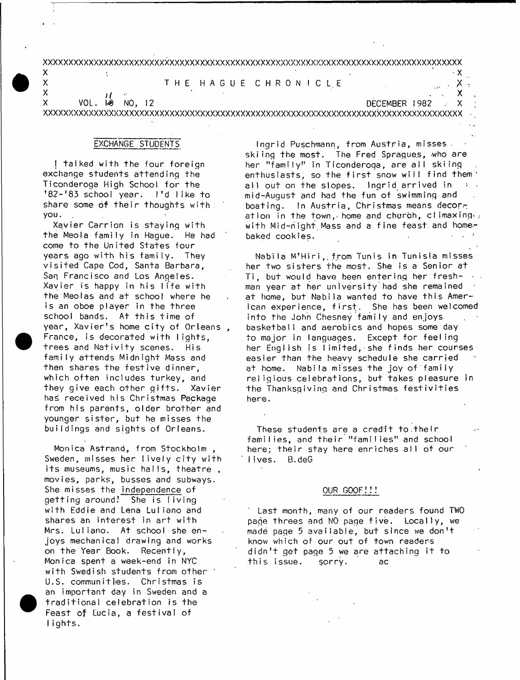xxxxxxxxxxxxxxxxxxxxxxxxxxxxxxxxxxxxxxxxxxxxxxxxxxxxxxxxxxxxxxxxxxxxxxxxxxxxxxxxxxx

# $\mathsf{X}$  . The contract of the contract of the contract of the contract of the contract of the contract of the contract of the contract of the contract of the contract of the contract of the contract of the contract of th X THE HAGUE CHRONICLE . X

 $\mathsf{x}$  ) and  $\mathsf{y}$  ( $\mathsf{y}$  -  $\mathsf{y}$  -  $\mathsf{y}$  -  $\mathsf{y}$  -  $\mathsf{y}$  -  $\mathsf{y}$  -  $\mathsf{y}$  -  $\mathsf{y}$  -  $\mathsf{y}$  -  $\mathsf{y}$  -  $\mathsf{y}$  -  $\mathsf{y}$  -  $\mathsf{y}$  -  $\mathsf{y}$  -  $\mathsf{y}$  -  $\mathsf{y}$  -  $\mathsf{y}$  -  $\mathsf{y}$  -X VOL \* *\S* NO, 12 DECEMBER 1982 , X

XXXXXXXXXXXXXXXXXXXXXXXXXXXXXXXXXXXXXXXXXXXXXXXXXXXXXXXXXXXXXXXXXXXXXXXXXXXXXXXXXXX

## EXCHANGE STUDENTS

I talked with the four foreign exchange students attending the Ticonderoga High School for the '82-'83 school year. I'd like to share some of their thoughts with. you.

Xavier Carrion is staying with the Meola family in Haque. He had come to the United States four years ago with his family. They visited Cape Cod, Santa Barbara, San Francisco and Los Angeles. Xavier is happy in his life with the Meolas and at school where he is an oboe plaver in the three school bands. At this time of year, Xavier's home city of Orleans, France, is decorated with lights, trees and Nativity scenes. His family attends Midnight Mass and then shares the festive dinner, which often includes turkey, and they give each other gifts. Xavier has received his Christmas Package from his parents, older brother and younger sister, but he misses the buildings and sights of Orleans.

Monica Astrand, from Stockholm, Sweden, misses her lively city with its museums, music halls, theatre, movies, parks, busses and subways. She misses the independence of getting around! She is living with Eddie and Lena Luliano and shares an interest in art with Mrs. Luliano. At school she enjoys mechanical drawing and works on the Year Book. Recently, Monica spent a week-end in NYC with Swedish students from other U.S. communities. Christmas is an important day in Sweden and a traditional celebration is the Feast of Lucia, a festival of lights.

Ingrid Puschmann, from Austria, misses skiing the most. The Fred Spragues, who are her "family" in Ticonderoga, are all skiing en thus iasts, so the first snow will find them " all out on the slopes. Ingrid arrived in mid-August and had the fun of swimming and boating. In Austria, Christmas means decoration in the town, home and church, climaxing  $\cdot$ with Mid-night Mass and a fine feast and homebaked cookies.

Nabila M'Hiri, from Tunis in Tunisia misses her two sisters the most. She is a Senior at Ti, but would have been entering her fresh-  $\cdots$ man year at her university had she remained at home, but Nabija wanted to have this American experience, first. She has been welcomed into the John Chesney family and enjoys basketball and aerobics and hopes some day to major in languages. Except for feeling her English is limited, she finds her courses easier than the heavy schedule she carried at home. Nabila misses the joy of family religious celebrations, but takes pleasure in the Thanksgiving and Christmas festivities here.

These students are a credit to their families, and their "families" and school here; their stay here enriches all of our lives. B.deG

#### OUR GOOF!!!

Last month, many of our readers found TWO pade threes and NO page five. Locally, we made page 5 available, but since we don't know which of our out of town readers didn't get page 5 we are attaching it to this issue. sorry. ac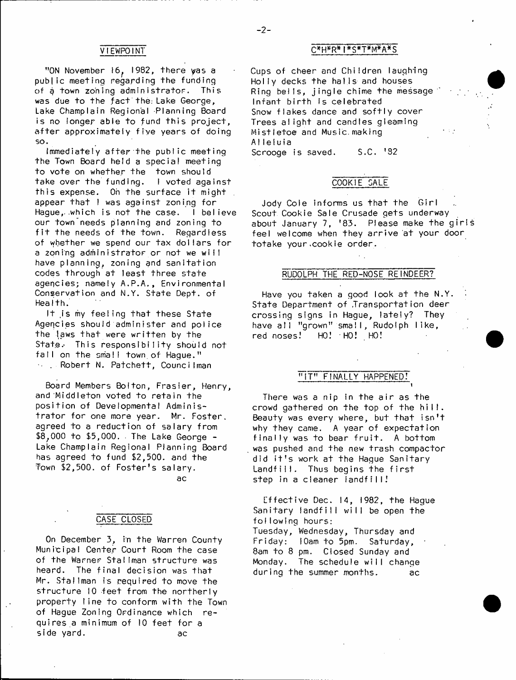"ON November  $16$ , 1982, there yas a public meeting regarding the funding of a town zoning administrator. This was due to the fact the; Lake George, Lake Champlain Regional -Planning Board is no longer able to fund this project, after approximately five years of doing so.

Immediately after the public meeting the Town Board held a special meeting to vote on whether the town should take over the funding. I voted against this expense. Oh the surface it might appear that I was against zoning for Haque, which is not the case. I believe our town needs planning and zoning to fit the needs of the town. Regardless of whether we spend our tax dollars for a zoning administrator or not we will have planning, zoning and sanitation codes through at least three state agencies; namely A.P.A., Environmental Conservation and N.Y. State Dept. of HeaIth.

It is my feeling that these State Agencies should administer and police the laws that were written by the State. This responsibility should not fall on the small town of Hague." and Robert N. Patchett, Councilman

Board Members Bolton, Frasier, Henry, and Middleton voted to retain the position of Developmental Administrator for one more year. Mr. Foster, agreed to a reduction of salary from \$8; 000 to \$5,000, The Lake George - Lake Champlain Regional Planning Board has agreed to fund \$2,500. and the Town \$2,500. of Foster's salary.

ac

## CASE CLOSED

On December 3, in the Warren County Municipal Center Court Room the case of the Warner Stallman structure was heard. The final decision was that Mr. Stallman is required to move the structure 10 feet from the northerly property line to conform with the Town of Hague Zoning Ordinance which requires a minimum of 10 feet for a side yard. ac

## VIEWPOINT C\*H\*R\*I\*S\*T\*M\*A\*S

Cups of cheer and Children laughing Holly decks the halls and houses Ring bells, jingle chime the message Infant birth is celebrated Snow flakes dance and softly cover Trees alight and candles gleaming Mistletoe and Music making A! IeIu ia Scrooge is saved. S.C. '32

## COOKIE SALE

Jody Cole informs us that the Girl Scout Cookie Sale Crusade gets underway about January 7, '83. Please make the girls feel welcome when they arrive at your door totake your.cookie order.

## RUDOLPH THE RED-NOSE REINDEER?

Have you taken a good look at the N.Y. State Department of Transportation deer crossing signs in Hague, lately? They have all "grown" small, Rudolph like, red noses? HO! HO! HO!

## "IT" FINALLY HAPPENED!

i

There was a nip in the air as the crowd gathered on the top of the hill. Beauty was every where, but that isn't why they came. A year of expectation finally was to bear fruit. A bottom was pushed and the new trash compactor did it's work at the Hague Sanitary  $Landfill.$  Thus begins the first step in a cleaner landfill!

Effective Dec.  $14$ , 1982, the Hague Sanitary landfill will be open the follow ing hours: Tuesday, Wednesday, Thursday and Friday: 10am to 5pm. Saturday, 8am to 8 pm. Closed Sunday and Monday. The schedule will change during the summer months. ac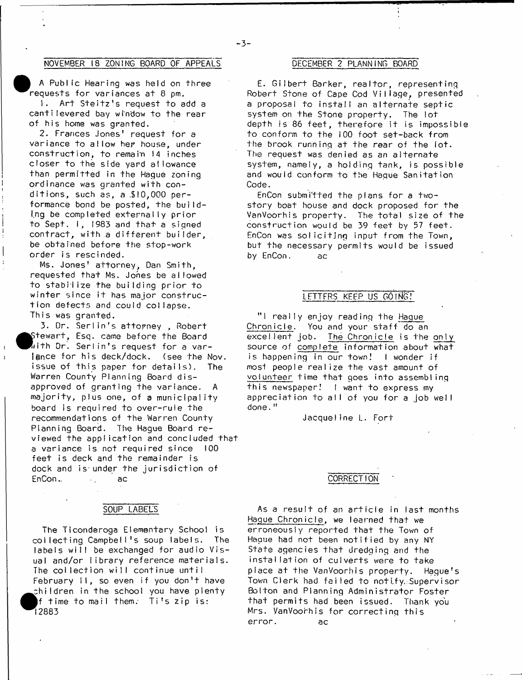## NOVEMBER 18 ZONING BOARD OF APPEALS

A Public Hearing was held on three requests for variances at 8 pm.

1. Art Steitz's request to add a cantilevered bay window to the rear of his home was granted.

2. Frances Jones' request for a variance to allow her house, under construction, to remain 14 inches closer to the side yard allowance than permitted in the Hague zoning ordinance was granted with conditions, such as, a  $$10,000$  performance bond be posted, the building be completed externally prior to Sept. 1, 1983 and that a signed contract, with a different builder, be obtained before the stop-work order is rescinded.

Ms. Jones' attorney, Dan Smith, requested that Ms. Jones be allowed to stabilize the building prior to winter since it has major construction defects and could collapse. This was granted.

3. Dr. Serlin's attorney, Robert  $\footnotesize\substack{\text{Stewart, Esq. can}$  came before the Board  $\bar k$ ith Dr. Serlin's request for a varience for his deck/dock. (see the Nov. issue of this paper for details). The Warren County Planning Board disapproved of granting the variance. majority, plus one, of a municipality board is required to over-rule the recommendations of the Warren County Planning Board. The Hague Board reviewed the application and concluded that a variance is not required since 100 feet is deck and the remainder is dock and is under the jurisdiction of EnCon.. , ac

## SOUP LABELS

The Ticonderoga Elementary School is collecting Campbell's soup labels. The labels will be exchanged for audio Visual and/or library reference materials. The collection will continue until February II, so even if you don't have children in the school you have plenty  $f$  time to mail them. Ti's zip is: 1 2 8 8 3

#### DECEMBER 2 PLANNING BOARD

E. Gilbert Barker, realtor, representing Robert Stone of Cape Cod Village, presented a proposal to install an alternate septic system on the Stone property. The lot depth is 86 feet, therefore it is impossible to conform to the 100 foot set-back from the brook running at the rear of the lot. The request was denied as an alternate system, namely, a holding tank, is possible and would conform to the Hague Sanitation Code.

EnCon submitted the plans for a twostory boat house and dock proposed for the VanVoorhis property. The total size of the construction would be 39 feet by 57 feet. EnCon was soliciting input from the Town, but the necessary permits would be issued by EnCon. ac

### LFTTFRS KEEP US GOING!

"I really enjoy reading the Hague Chronicle. You and your staff do an excellent job. The Chronicle is the only source of complete information about what is happening in our town! I wonder if most people realize the vast amount of volunteer time that goes into assembling this newspaper! I want to express my appreciation to all of you for a job well done."

Jacqueline L. Fort

## CORRECTION

As a result of an article in last months Hague Chronicle, we learned that we erroneously reported that the Town of Hague had not been notified by any NY State agencies that dredging and the installation of culverts were to take place at the VanVoorhis property. Hague's Town Clerk had failed to notify, Supervisor Bolton and Planning Administrator Foster that permits had been issued. Thank you Mrs. VanVoorhis for correcting this error. ac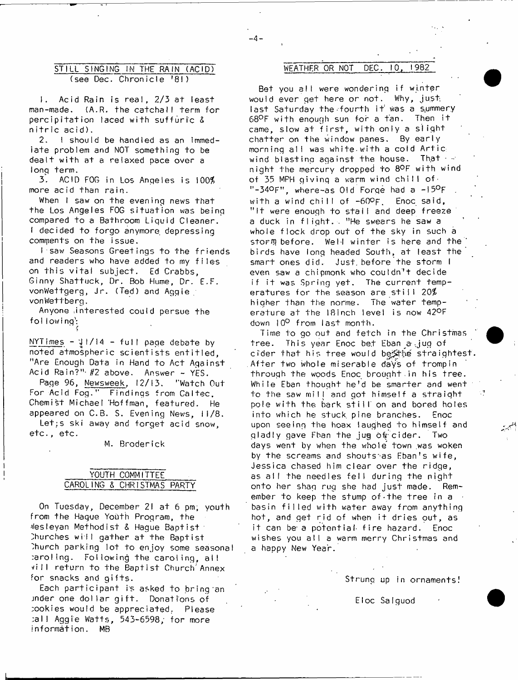## STILL SINGING IN THE RAIN (ACID) WEATHER OR NOT DEC. 10, 1982 (see Dec. Chronicle '81)

1. Acid Rain is real,  $2/3$  at least man-made. (A.R. the catchall term for percipitation laced with suffuric &  $n$  itric acid).

2. I should be handled as an immediate problem and NOT something to be dealt with at a relaxed pace over a long term.

3. ACID FOG in Los Angeles is 100\$ more acid than rain.

When I saw on the evening news that the Los Angeles FOG situation was being compared to a Bathroom Liquid Cleaner. I decided to forgo anymore depressing comments on the issue.

I saw Seasons Greetings to the friends and readers who have added to my files on this vital subject. Ed Crabbs, Ginny Shattuck, Dr. Bob Hume, Dr. E.F. vonWettgerg, Jr. (Ted) and Aggie vonWettberg.

Anyone interested could persue the following:

NYT imes - J I / 14 - f u l l page debate by noted atmospheric scientists entitled. "Are Enough Data in Hand to Act Against Acid Rain?" #2 above. Answer - YES.

Page 96, Newsweek. *\7f* 13. "Watch Out For Acid Fog." Findings from Caltec, Chemist Michael Hoffman, featured. He appeared on C.B. S. Evening News, 11/8. Let;s ski away and forget acid snow,

etc., etc.

M. Broderick

## YOUTH COMMITTEE CAROLING & CHRISTMAS PARTY

On Tuesday, December 21 at 6 pm, youth from the Haque Youth Program, the Nesleyan Methodist & Hague Baptist Churches will gather at the Baptist Thurch parking lot to enjoy some seasonal :aro!ing. Following the caroling, a ll vill return to the Baptist Church'Annex for snacks and gifts.

Each participant is asked to bring an inder one dollar gift. Donations of ;ookies would be appreciated.. Please :all Aggie Watts, 543-6598, for more  $information.$  MB

Bet you all were wondering if winter would ever get here or not. Why, just. last Saturday the fourth it was a summery 68°F with enough sun for a tan. Then it came, slow at first, with only a slight chatter on the window panes. By early morning all was white with a cold Artic wind blasting against the house. That  $\cdot$  night the mercury dropped to 8°F with wind of 35 MPH giving a warm wind chill of.  $"$ -34 $^\circ$ F", where-as Old Forge had a  $-15^\circ$ F with a wind chill of  $-60$ °F. Enoc said, "It were enough to stall and deep freeze a duck in flight. "He swears he saw a whole flock drop out of the sky in such a storm before. Well winter is here and the birds have long headed South, at least the smart ones did. Just before the storm I even saw a chipmonk who couldn't decide if it was Spring yet. The current temperatures for the season are still  $20\%$ higher than the norme. The water temperature at the I8inch level is now 42°F down 10<sup>0</sup> from last month.

Time to go out and fetch in the Christmas tree. This year Enoc bet Eban a jug of cider that his tree would be the straightest. After two whole miserable days of trompin through the woods Enoc brought in his tree. While Eban thought he'd be smarter and went to the saw mill and got himself a straight pole with the bark still on and bored holes into which he stuck pine branches. Enoc upon seeing the hoax laughed to himself and gladly gave Fban the jug of cider. Two days went by when the whole town was woken by the screams and shoutstas Eban's wife, Jessica chased him clear over the ridge, as all the needles fell during the night onto her shag rug she had just made. Remember to keep the stump of the tree in a basin filled with water away from anything hot, and get rid of when it dries out, as it can be a potential fire hazard. Enoc wishes you all a warm merry Christmas and a happy New Year.

Strung up in ornaments!

Eloc Salguod

-4-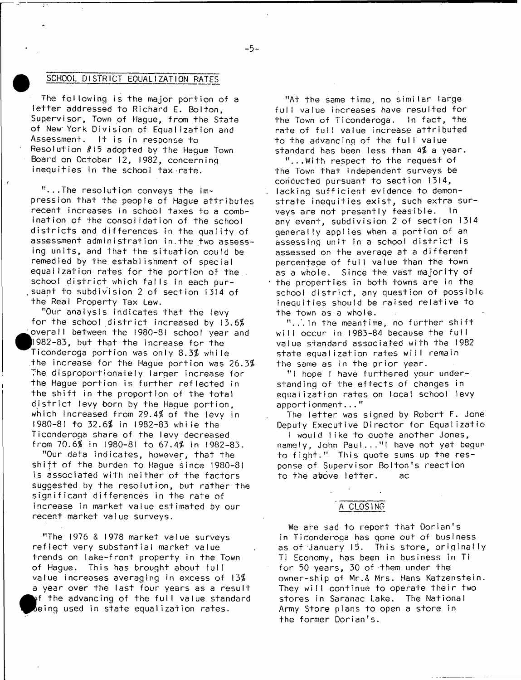## SCHOOL DISTRICT EQUALIZATION RATES

The following is the major portion of a letter addressed to Richard E. Bolton, Supervisor, Town of Haque, from the State of New York Division of Equalization and Assessment. It is in response to Resolution  $#15$  adopted by the Hague Town Board on October 12, 1982, concerning inequities in the school tax rate.

 $"$ ...The resolution conveys the impression that the people of Hague attributes recent increases in school taxes to a combination of the consolidation of the school districts and differences in the quality of assessment administration in. the two assessing units, and that the situation could be remedied by the establishment of special equalization rates for the portion of the school district which falls in each pursuant to subdivision 2 of section 1314 of the Real Property Tax Low.

"Our analysis indicates that the levy for the school district increased by  $13.6\%$ overall between the 1980-81 school year and  $1982-83$ , but that the increase for the Ticonderoga portion was only 8.3% while the increase for the Haque portion was 26.3\$ The disproportionately larger increase for the Hague portion is further reflected in the shift in the proportion of the total district levy born by the Hague portion, which increased from 29.4% of the levy in 1980-81 to 32.6\$ in 1982-83 while the Ticonderoga share of the levy decreased from 70.6\$ in 1980-81 to 67.4\$ in 1982-83.

"Our data indicates, however, that the shift of the burden to Hague since  $1980-81$ is associated with neither of the factors suggested by the resolution, but rather the significant differences in the rate of increase in market value estimated by our recent market value surveys.

"The 1976 & 1978 market value surveys reflect very substantial market value trends on lake-front property in the Town of Hague. This has brought about full value increases averaging in excess of  $13%$ a year over the last four years as a result  $\bullet$  $\mathbf{A}$  the advancing of the full value standard  $be$ ing used in state equalization rates.

"At the same time, no similar large full value increases have resulted for the Town of Ticonderoga. In fact, the rate of full value increase attributed to the advancing of the full value standard has been less than  $4\frac{7}{6}$  a year.

"...W ith respect to the request of the Town that independent surveys be conducted pursuant to section 1314, lacking sufficient evidence to demonstrate inequities exist, such extra surveys are not presently feasible. In any event, subdivision  $2$  of section  $1314$ generally applies when a portion of an assessing unit in a school district is assessed on the average at a different percentage of full value than the town as a whole. Since the vast majority of the properties in both towns are in the school district, any question of possible inequities should be raised relative to the town as a whole.

 $"$ ... In the meantime, no further shift will occur in 1983-84 because the full value standard associated with the 1982 state equalization rates will remain the same as in the prior year.

"I hope I have furthered your understanding of the effects of changes in equalization rates on local school levy apportionment..."

The letter was signed by Robert F. Jone Deputy Executive Director for Equalizatio

I would like to quote another Jones. namely, John Paul..." I have not yet begun to fight." This quote sums up the response of Supervisor Bolton's reaction to the above letter. ac

## A CLOSING

We are sad to report that Dorian's in Ticonderoga has gone out of business as of January 15. This store, originally Ti Economy, has been in business in Ti for 50 years, 30 of them under the owner-ship of Mr.& Mrs. Hans Katzenstein. They will continue to operate their two stores in Saranac Lake. The National Army Store plans to open a store in the former Dorian's.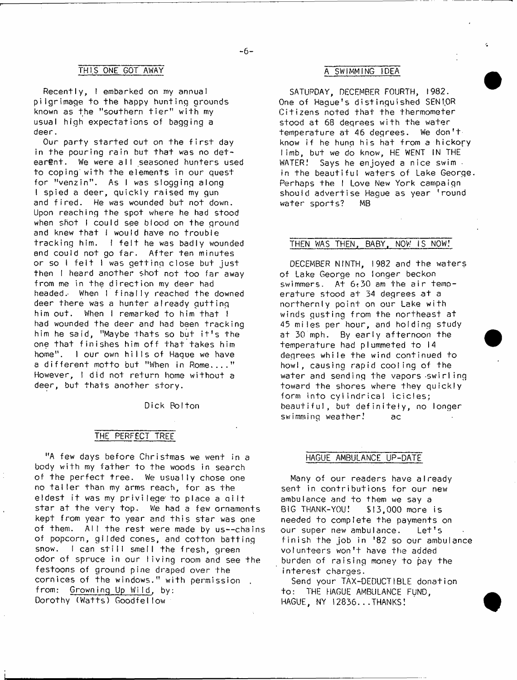## THIS ONE GOT AWAY A SWIMMING IDEA

Recently, I embarked on my annual pilgrim age to the happy hunting grounds known as the "southern tier" with my usual high expectations of bagging a deer.

Our party started out on the first day in the pouring rain but that was no detearent. We were all seasoned hunters used to coping with the elements in our quest for "venzin". As I was slogging along I spied a deer, quickly raised my qun and fired. He was wounded but not down. Upon reaching the spot where he had stood when shot I could see blood on the ground and knew that I would have no trouble tracking him. I felt he was badly wounded and could not go far. After ten minutes or so I felt I was getting close but just then I heard another shot not too far away from me in the direction my deer had headed. When I finally reached the downed deer there was a hunter already qutting him out. When I remarked to him that I had wounded the deer and had been tracking him he said, "Maybe thats so but it's the one that finishes him off that takes him home". I our own hills of Haque we have a different motto but "When in Rome...." However, I did not return home without a deer, but thats another story.

Dick Bolton

## THE PERFECT TREE

"A few days before Christmas we went in a body with my father to the woods in search of the perfect tree. We usually chose one no taller than my arms reach, for as the eldest it was my privilege to place a gilt star at the very top. We had a few ornaments kept from year to year and this star was one of them. All the rest were made by us--chains of popcorn, gilded cones, and cotton batting snow. I can still smell the fresh, green odor of spruce in our living room and see the festoons of ground pine draped over the cornices of the windows." with permission . from: Growning Up Wild, by: Dorothy (Watts) Goodfellow

SATURDAY, DECEMBER FOURTH, 1982. One of Haque's distinguished SENIOR Citizens noted that the thermometer stood at 68 degrees with the water temperature at 46 degrees. We don't know if he hung his hat from a hickory limb, but we do know, HE WENT IN THE WATER! Says he enjoyed a nice swim. in the beautiful waters of Lake George. Perhaps the I Love New York campaign should advertise Haque as year 'round water sports? MB

## THEN WAS THEN, BABY. NOW IS NOW!

DECEMBER NINTH, 1982 and the waters of Lake George no longer beckon swimmers. At  $6.30$  am the air temperature stood at 34 degrees at a northernly point on our Lake with winds gusting from the northeast at 45 miles per hour, and holding study at 30 mph. By early afternoon the temperature had plummeted to 14 degrees while the wind continued to howl, causing rapid cooling of the water and sending the vapors swirling toward the shores where they quickly form into cylindrical icicles; beautiful, but definitely, no longer swimming weather! ac

#### HAGUE AMBULANCE UP-DATE

Many of our readers have already sent in contributions for our new ambulance and to them we say a BIG THANK-YOU! \$13,000 more is needed to complete the payments on our super new ambulance. Let's finish the job in  $182$  so our ambulance volunteers won't have the added burden of raising money to pay the interest charges.

Send your TAX-DEDUCTIBLE donation to: THE HAGUE AMBULANCE FUND, HAGUE, NY 12836...THANKS!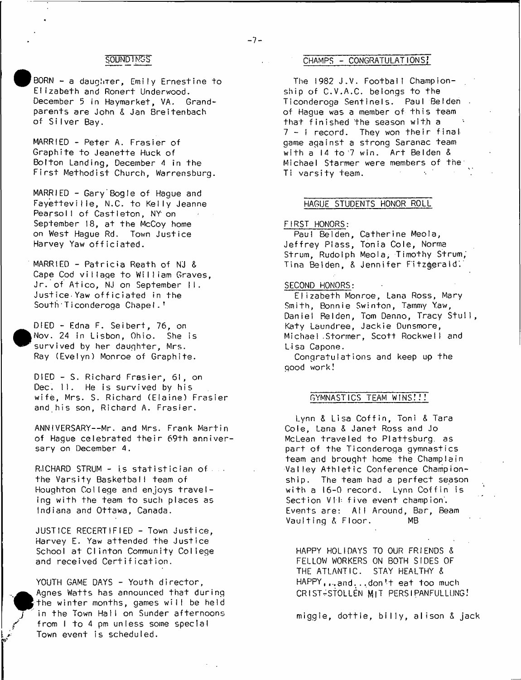#### SOUNDINGS

BORN  $-$  a daughter, Emily Ernestine to E lizabeth and Ronert Underwood. December 5 in Haymarket, VA. Grandparents are John & Jan Breitenbach of Silver Bay.

MARRIED - Peter A. Frasier of G raphite to Jeanette Huck of Bolton Landing, December 4 in the First Methodist Church, Warrensburg.

MARRIED - Gary Bogle of Hague and Fayetteville, N.C. to Kelly Jeanne Pearsoll of Castleton, NY on September 18, at the McCoy home on West Hague Rd. Town Justice Harvey Yaw officiated.

 $MARRIED - Patricia Reath of NJ &$ Cape Cod village to William Graves. Jr. of Atico, NJ on September II. Justice Yaw officiated in the South Ticonderoga Chapel.<sup>1</sup>

DIED - Edna F. Seibert, 76, on Nov. 24 in Lisbon, Ohio. She is survived by her daughter, Mrs. Ray (Evelyn) Monroe of Graphite.

DIED - S. Richard Frasier, 61, on Dec. II. He is survived by his wife, Mrs. S. Richard (Elaine) Frasier and his son, Richard A. Frasier.

ANNIVERSARY--Mr. and Mrs. Frank Martin of Hague celebrated their 69th anniversary on December 4.

RJCHARD STRUM - is statistician of a the Varsity Basketball team of Houghton College and enjoys traveling with the team to such places as Indiana and Ottawa, Canada.

JUSTICE RECERTIFIED - Town Justice, Harvey E. Yaw attended the Justice School at Clinton Community College and received Certification.

YOUTH GAME DAYS - Youth director, Agnes Watts has announced that during the winter months, games will be held in the Town Hall on Sunder afternoons from I to 4 pm unless some special Town event is scheduled.

## CHAMPS - CONGRATULATIONS!

The 1982 J.V. Football Championship of C.V.A.C. belongs to the Ticonderoga Sentinels. Paul Belden . of Hague was a member of this team that finished the season with a  $7 - 1$  record. They won their final game against a strong Saranac team with a  $14$  to  $7$  win. Art Belden & Michael Starmer were members of the Ti varsity team.

#### HAGUE STUDENTS HONOR ROLL

#### FIRST HONORS:

Paul Bel den, Catherine Meola, Jeffrey Plass, Tonia Cole, Norma Strum, Rudolph Meola, Timothy Strum,' Tina Belden, & Jennifer Fitzgerald.

#### SECOND HONORS:

Elizabeth Monroe, Lana Ross, Mary Smith, Bonnie Swinton, Tammy Yaw, Daniel Relden, Tom Denno, Tracy Stull, Katy Laundree, Jackie Dunsmore, Michael Stormer, Scott Rockwell and Lisa Capone.

Congratulations and keep up the good work!

#### GYMNASTICS TEAM WINS!!!

Lynn & Lisa Coffin, Toni & Tara Cole, Lana *&* Janet Ross and Jo McLean traveled to Plattsburg. as part of the Ticonderoga gymnastics team and brought home the Champlain Valley Athletic Conference Championship. The team had a perfect season with a 16-0 record. Lynn Coffin is Section VII: five event champion. Events are: All Around, Bar, Beam Vaulting & Floor. MB

HAPPY HOLIDAYS TO OUR FRIENDS *&* FELLOW WORKERS ON BOTH SIDES OF THE ATLANTIC. STAY HEALTHY *&*  $HAPPY$ , ... and... don't eat too much CRIST-StOLLEN MIT PERSIPANFULLUNG*!*

miggie, d o ttie , b illy , alison *&* jack